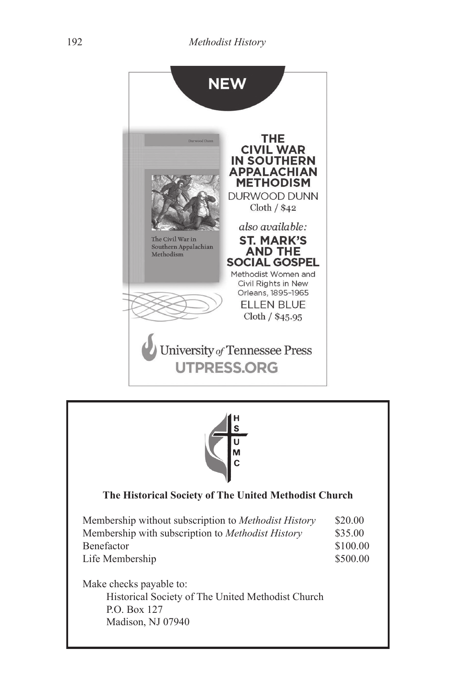



## **The Historical Society of The United Methodist Church**

| Membership without subscription to <i>Methodist History</i> | \$20.00  |
|-------------------------------------------------------------|----------|
| Membership with subscription to <i>Methodist History</i>    | \$35.00  |
| <b>Benefactor</b>                                           | \$100.00 |
| Life Membership                                             | \$500.00 |

Make checks payable to: Historical Society of The United Methodist Church P.O. Box 127 Madison, NJ 07940